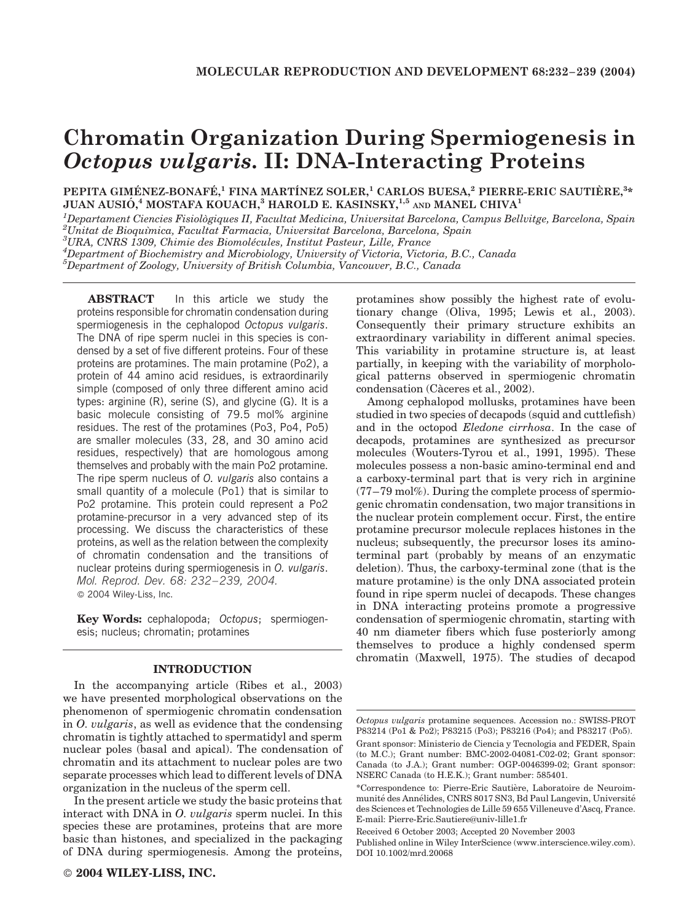# Chromatin Organization During Spermiogenesis in Octopus vulgaris. II: DNA-Interacting Proteins

PEPITA GIMÉNEZ-BONAFÉ,<sup>1</sup> FINA MARTÍNEZ SOLER,<sup>1</sup> CARLOS BUESA,<sup>2</sup> PIERRE-ERIC SAUTIÈRE,<sup>3</sup>\* JUAN AUSIÓ, $^4$  MOSTAFA KOUACH, $^3$  HAROLD E. KASINSKY, $^{1,5}$  and MANEL CHIVA $^1$ 

<sup>1</sup>Departament Ciencies Fisiològiques II, Facultat Medicina, Universitat Barcelona, Campus Bellvitge, Barcelona, Spain<br><sup>2</sup>Unitat de Bioquímica, Facultat Farmacia, Universitat Barcelona, Barcelona, Spain  $^{2}$ Unitat de Bioquimica, Facultat Farmacia, Universitat Barcelona, Barcelona, Spain

 ${}^{3}$ URA, CNRS 1309, Chimie des Biomolécules, Institut Pasteur, Lille, France

 ${}^4D$ epartment of Biochemistry and Microbiology, University of Victoria, Victoria, B.C., Canada

 $^5$ Department of Zoology, University of British Columbia, Vancouver, B.C., Canada

ABSTRACT In this article we study the proteins responsible for chromatin condensation during spermiogenesis in the cephalopod Octopus vulgaris. The DNA of ripe sperm nuclei in this species is condensed by a set of five different proteins. Four of these proteins are protamines. The main protamine (Po2), a protein of 44 amino acid residues, is extraordinarily simple (composed of only three different amino acid types: arginine (R), serine (S), and glycine (G). It is a basic molecule consisting of 79.5 mol% arginine residues. The rest of the protamines (Po3, Po4, Po5) are smaller molecules (33, 28, and 30 amino acid residues, respectively) that are homologous among themselves and probably with the main Po2 protamine. The ripe sperm nucleus of *O. vulgaris* also contains a small quantity of a molecule (Po1) that is similar to Po2 protamine. This protein could represent a Po2 protamine-precursor in a very advanced step of its processing. We discuss the characteristics of these proteins, as well as the relation between the complexity of chromatin condensation and the transitions of nuclear proteins during spermiogenesis in O. vulgaris. Mol. Reprod. Dev. 68: 232–239, 2004. 2004 Wiley-Liss, Inc.

Key Words: cephalopoda; Octopus; spermiogenesis; nucleus; chromatin; protamines

#### INTRODUCTION

In the accompanying article (Ribes et al., 2003) we have presented morphological observations on the phenomenon of spermiogenic chromatin condensation in O. vulgaris, as well as evidence that the condensing chromatin is tightly attached to spermatidyl and sperm nuclear poles (basal and apical). The condensation of chromatin and its attachment to nuclear poles are two separate processes which lead to different levels of DNA organization in the nucleus of the sperm cell.

In the present article we study the basic proteins that interact with DNA in *O. vulgaris* sperm nuclei. In this species these are protamines, proteins that are more basic than histones, and specialized in the packaging of DNA during spermiogenesis. Among the proteins, protamines show possibly the highest rate of evolutionary change (Oliva, 1995; Lewis et al., 2003). Consequently their primary structure exhibits an extraordinary variability in different animal species. This variability in protamine structure is, at least partially, in keeping with the variability of morphological patterns observed in spermiogenic chromatin condensation (Càceres et al., 2002).

Among cephalopod mollusks, protamines have been studied in two species of decapods (squid and cuttlefish) and in the octopod Eledone cirrhosa. In the case of decapods, protamines are synthesized as precursor molecules (Wouters-Tyrou et al., 1991, 1995). These molecules possess a non-basic amino-terminal end and a carboxy-terminal part that is very rich in arginine  $(77-79 \text{ mol})\%$ ). During the complete process of spermiogenic chromatin condensation, two major transitions in the nuclear protein complement occur. First, the entire protamine precursor molecule replaces histones in the nucleus; subsequently, the precursor loses its aminoterminal part (probably by means of an enzymatic deletion). Thus, the carboxy-terminal zone (that is the mature protamine) is the only DNA associated protein found in ripe sperm nuclei of decapods. These changes in DNA interacting proteins promote a progressive condensation of spermiogenic chromatin, starting with 40 nm diameter fibers which fuse posteriorly among themselves to produce a highly condensed sperm chromatin (Maxwell, 1975). The studies of decapod

Octopus vulgaris protamine sequences. Accession no.: SWISS-PROT P83214 (Po1 & Po2); P83215 (Po3); P83216 (Po4); and P83217 (Po5).

Grant sponsor: Ministerio de Ciencia y Tecnologia and FEDER, Spain (to M.C.); Grant number: BMC-2002-04081-C02-02; Grant sponsor: Canada (to J.A.); Grant number: OGP-0046399-02; Grant sponsor: NSERC Canada (to H.E.K.); Grant number: 585401.

<sup>\*</sup>Correspondence to: Pierre-Eric Sautière, Laboratoire de Neuroimmunité des Annélides, CNRS 8017 SN3, Bd Paul Langevin, Université des Sciences et Technologies de Lille 59 655 Villeneuve d'Ascq, France. E-mail: Pierre-Eric.Sautiere@univ-lille1.fr

Received 6 October 2003; Accepted 20 November 2003

Published online in Wiley InterScience (www.interscience.wiley.com). DOI 10.1002/mrd.20068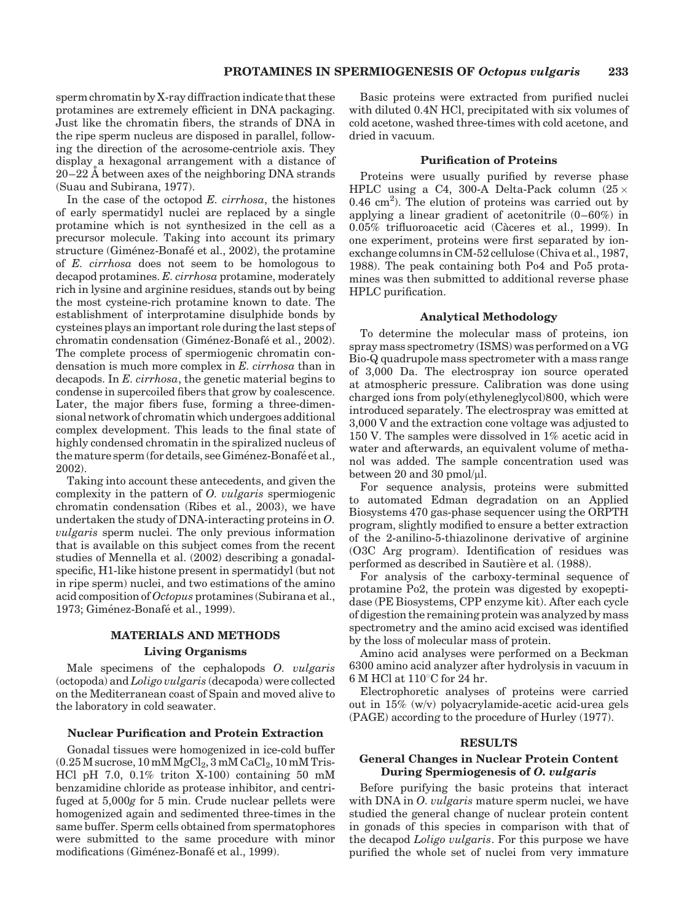sperm chromatin by X-ray diffraction indicate that these protamines are extremely efficient in DNA packaging. Just like the chromatin fibers, the strands of DNA in the ripe sperm nucleus are disposed in parallel, following the direction of the acrosome-centriole axis. They display a hexagonal arrangement with a distance of  $20-22$  Å between axes of the neighboring DNA strands (Suau and Subirana, 1977).

In the case of the octopod  $E$ . *cirrhosa*, the histones of early spermatidyl nuclei are replaced by a single protamine which is not synthesized in the cell as a precursor molecule. Taking into account its primary structure (Giménez-Bonafé et al., 2002), the protamine of E. cirrhosa does not seem to be homologous to decapod protamines. E. cirrhosa protamine, moderately rich in lysine and arginine residues, stands out by being the most cysteine-rich protamine known to date. The establishment of interprotamine disulphide bonds by cysteines plays an important role during the last steps of chromatin condensation (Giménez-Bonafé et al., 2002). The complete process of spermiogenic chromatin condensation is much more complex in E. cirrhosa than in decapods. In E. cirrhosa, the genetic material begins to condense in supercoiled fibers that grow by coalescence. Later, the major fibers fuse, forming a three-dimensional network of chromatin which undergoes additional complex development. This leads to the final state of highly condensed chromatin in the spiralized nucleus of the mature sperm (for details, see Giménez-Bonafé et al., 2002).

Taking into account these antecedents, and given the complexity in the pattern of O. vulgaris spermiogenic chromatin condensation (Ribes et al., 2003), we have undertaken the study of DNA-interacting proteins in O. vulgaris sperm nuclei. The only previous information that is available on this subject comes from the recent studies of Mennella et al. (2002) describing a gonadalspecific, H1-like histone present in spermatidyl (but not in ripe sperm) nuclei, and two estimations of the amino acid composition of Octopus protamines (Subirana et al., 1973; Giménez-Bonafé et al., 1999).

# MATERIALS AND METHODS Living Organisms

Male specimens of the cephalopods O. *vulgaris* (octopoda) and Loligo vulgaris (decapoda) were collected on the Mediterranean coast of Spain and moved alive to the laboratory in cold seawater.

## Nuclear Purification and Protein Extraction

Gonadal tissues were homogenized in ice-cold buffer  $(0.25\,\mathrm{M}\,\mathrm{success},\,10\,\mathrm{m}\mathrm{M}\,\mathrm{MgCl}_2, 3\,\mathrm{m}\mathrm{M}\,\mathrm{Cal}_2, 10\,\mathrm{m}\mathrm{M}\,\mathrm{Tris}$ HCl pH 7.0, 0.1% triton X-100) containing 50 mM benzamidine chloride as protease inhibitor, and centrifuged at 5,000g for 5 min. Crude nuclear pellets were homogenized again and sedimented three-times in the same buffer. Sperm cells obtained from spermatophores were submitted to the same procedure with minor modifications (Giménez-Bonafé et al., 1999).

Basic proteins were extracted from purified nuclei with diluted 0.4N HCl, precipitated with six volumes of cold acetone, washed three-times with cold acetone, and dried in vacuum.

### Purification of Proteins

Proteins were usually purified by reverse phase HPLC using a C4, 300-A Delta-Pack column  $(25 \times$  $0.46$  cm<sup>2</sup>). The elution of proteins was carried out by applying a linear gradient of acetonitrile (0–60%) in 0.05% trifluoroacetic acid (Càceres et al., 1999). In one experiment, proteins were first separated by ionexchange columns in CM-52 cellulose (Chiva et al., 1987, 1988). The peak containing both Po4 and Po5 protamines was then submitted to additional reverse phase HPLC purification.

#### Analytical Methodology

To determine the molecular mass of proteins, ion spray mass spectrometry (ISMS) was performed on a VG Bio-Q quadrupole mass spectrometer with a mass range of 3,000 Da. The electrospray ion source operated at atmospheric pressure. Calibration was done using charged ions from poly(ethyleneglycol)800, which were introduced separately. The electrospray was emitted at 3,000 V and the extraction cone voltage was adjusted to 150 V. The samples were dissolved in 1% acetic acid in water and afterwards, an equivalent volume of methanol was added. The sample concentration used was between 20 and 30 pmol/ $\mu$ l.

For sequence analysis, proteins were submitted to automated Edman degradation on an Applied Biosystems 470 gas-phase sequencer using the ORPTH program, slightly modified to ensure a better extraction of the 2-anilino-5-thiazolinone derivative of arginine (O3C Arg program). Identification of residues was performed as described in Sautière et al. (1988).

For analysis of the carboxy-terminal sequence of protamine Po2, the protein was digested by exopeptidase (PE Biosystems, CPP enzyme kit). After each cycle of digestion the remaining protein was analyzed by mass spectrometry and the amino acid excised was identified by the loss of molecular mass of protein.

Amino acid analyses were performed on a Beckman 6300 amino acid analyzer after hydrolysis in vacuum in 6 M HCl at  $110^{\circ}$ C for 24 hr.

Electrophoretic analyses of proteins were carried out in 15% (w/v) polyacrylamide-acetic acid-urea gels (PAGE) according to the procedure of Hurley (1977).

### RESULTS

# General Changes in Nuclear Protein Content During Spermiogenesis of O. vulgaris

Before purifying the basic proteins that interact with DNA in *O. vulgaris* mature sperm nuclei, we have studied the general change of nuclear protein content in gonads of this species in comparison with that of the decapod Loligo vulgaris. For this purpose we have purified the whole set of nuclei from very immature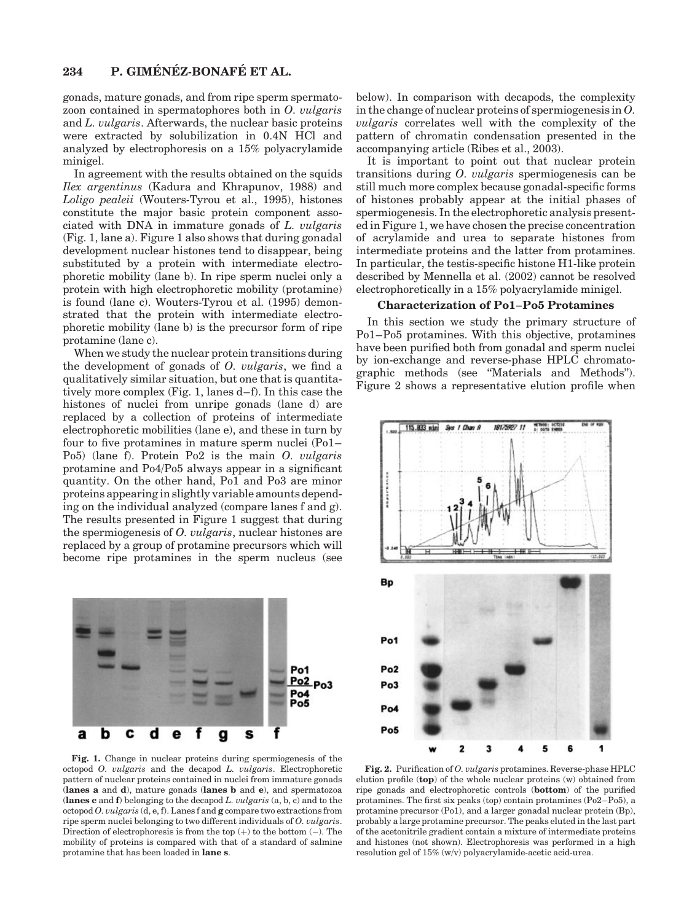gonads, mature gonads, and from ripe sperm spermatozoon contained in spermatophores both in O. vulgaris and L. vulgaris. Afterwards, the nuclear basic proteins were extracted by solubilization in 0.4N HCl and analyzed by electrophoresis on a 15% polyacrylamide minigel.

In agreement with the results obtained on the squids Ilex argentinus (Kadura and Khrapunov, 1988) and Loligo pealeii (Wouters-Tyrou et al., 1995), histones constitute the major basic protein component associated with DNA in immature gonads of L. vulgaris (Fig. 1, lane a). Figure 1 also shows that during gonadal development nuclear histones tend to disappear, being substituted by a protein with intermediate electrophoretic mobility (lane b). In ripe sperm nuclei only a protein with high electrophoretic mobility (protamine) is found (lane c). Wouters-Tyrou et al. (1995) demonstrated that the protein with intermediate electrophoretic mobility (lane b) is the precursor form of ripe protamine (lane c).

When we study the nuclear protein transitions during the development of gonads of O. vulgaris, we find a qualitatively similar situation, but one that is quantitatively more complex (Fig. 1, lanes d–f). In this case the histones of nuclei from unripe gonads (lane d) are replaced by a collection of proteins of intermediate electrophoretic mobilities (lane e), and these in turn by four to five protamines in mature sperm nuclei (Po1– Po5) (lane f). Protein Po2 is the main O. vulgaris protamine and Po4/Po5 always appear in a significant quantity. On the other hand, Po1 and Po3 are minor proteins appearing in slightly variable amounts depending on the individual analyzed (compare lanes f and g). The results presented in Figure 1 suggest that during the spermiogenesis of O. vulgaris, nuclear histones are replaced by a group of protamine precursors which will become ripe protamines in the sperm nucleus (see



Fig. 1. Change in nuclear proteins during spermiogenesis of the octopod O. vulgaris and the decapod L. vulgaris. Electrophoretic pattern of nuclear proteins contained in nuclei from immature gonads (lanes a and d), mature gonads (lanes b and e), and spermatozoa (lanes c and  $f$ ) belonging to the decapod  $L.$   $vulgaris$   $(a, b, c)$  and to the octopod O. vulgaris  $(d, e, f)$ . Lanes f and g compare two extractions from ripe sperm nuclei belonging to two different individuals of O. vulgaris. Direction of electrophoresis is from the top  $(+)$  to the bottom  $(-)$ . The mobility of proteins is compared with that of a standard of salmine protamine that has been loaded in lane s.

below). In comparison with decapods, the complexity in the change of nuclear proteins of spermiogenesis in O. vulgaris correlates well with the complexity of the pattern of chromatin condensation presented in the accompanying article (Ribes et al., 2003).

It is important to point out that nuclear protein transitions during O. vulgaris spermiogenesis can be still much more complex because gonadal-specific forms of histones probably appear at the initial phases of spermiogenesis. In the electrophoretic analysis presented in Figure 1, we have chosen the precise concentration of acrylamide and urea to separate histones from intermediate proteins and the latter from protamines. In particular, the testis-specific histone H1-like protein described by Mennella et al. (2002) cannot be resolved electrophoretically in a 15% polyacrylamide minigel.

# Characterization of Po1–Po5 Protamines

In this section we study the primary structure of Po1–Po5 protamines. With this objective, protamines have been purified both from gonadal and sperm nuclei by ion-exchange and reverse-phase HPLC chromatographic methods (see ''Materials and Methods''). Figure 2 shows a representative elution profile when



Fig. 2. Purification of O. vulgaris protamines. Reverse-phase HPLC elution profile (top) of the whole nuclear proteins (w) obtained from ripe gonads and electrophoretic controls (bottom) of the purified protamines. The first six peaks (top) contain protamines (Po2–Po5), a protamine precursor (Po1), and a larger gonadal nuclear protein (Bp), probably a large protamine precursor. The peaks eluted in the last part of the acetonitrile gradient contain a mixture of intermediate proteins and histones (not shown). Electrophoresis was performed in a high resolution gel of 15% (w/v) polyacrylamide-acetic acid-urea.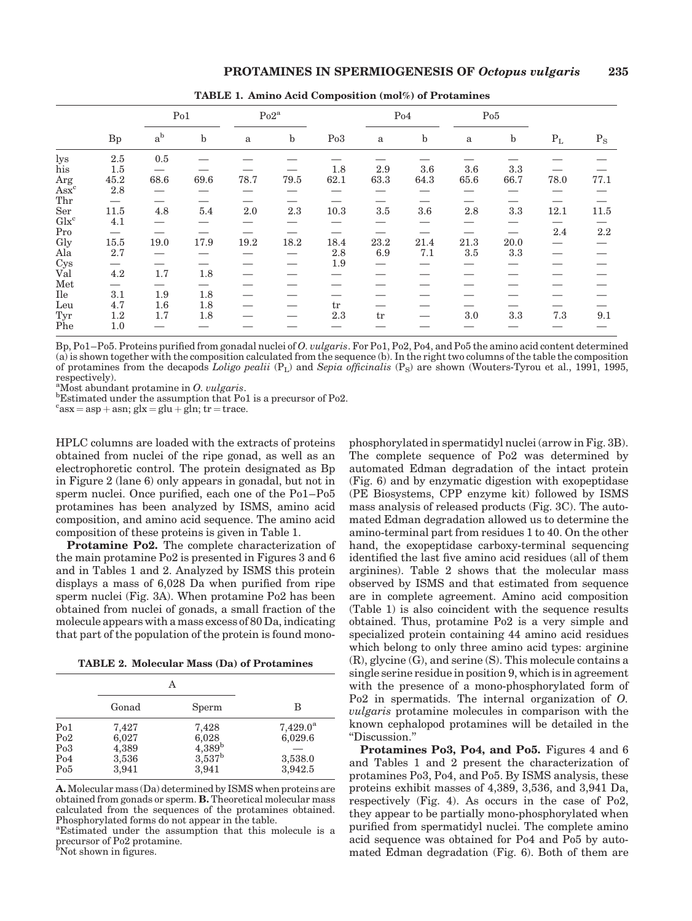|                                         |                               | Po1                      |             | $Po2^a$ |         |         | Po4      |             | Po5          |                                 |         |           |
|-----------------------------------------|-------------------------------|--------------------------|-------------|---------|---------|---------|----------|-------------|--------------|---------------------------------|---------|-----------|
|                                         | Bp                            | $a^b$                    | $\mathbf b$ | a       | $\rm b$ | Po3     | $\rm{a}$ | $\mathbf b$ | $\mathbf{a}$ | $\mathbf b$                     | $P_L$   | $\rm P_S$ |
| lys                                     | $2.5\,$                       | 0.5                      |             |         |         |         |          |             |              |                                 |         |           |
| his                                     | 1.5                           |                          |             |         |         | 1.8     | 2.9      | 3.6         | 3.6          | 3.3                             |         |           |
| Arg                                     | 45.2                          | 68.6                     | 69.6        | 78.7    | 79.5    | 62.1    | 63.3     | 64.3        | 65.6         | 66.7                            | 78.0    | 77.1      |
| $\overline{Ask}^c$                      | 2.8                           |                          |             |         |         |         |          |             |              |                                 |         |           |
| Thr                                     |                               |                          |             |         |         |         |          |             |              |                                 |         |           |
| Ser                                     | 11.5                          | 4.8                      | $5.4\,$     | 2.0     | 2.3     | 10.3    | $3.5\,$  | 3.6         | $2.8\,$      | 3.3                             | 12.1    | 11.5      |
| $\operatorname{Glx}^{\operatorname{c}}$ | 4.1                           |                          |             |         |         |         |          |             |              |                                 |         |           |
| Pro                                     | $\overbrace{\phantom{aaaaa}}$ |                          |             |         |         |         |          |             |              | $\hspace{0.1mm}-\hspace{0.1mm}$ | $2.4\,$ | 2.2       |
| Gly                                     | 15.5                          | 19.0                     | 17.9        | 19.2    | 18.2    | 18.4    | 23.2     | 21.4        | 21.3         | 20.0                            |         |           |
| Ala                                     | 2.7                           |                          |             |         |         | $2.8\,$ | 6.9      | 7.1         | 3.5          | 3.3                             |         |           |
| Cys                                     | $\overline{\phantom{0}}$      |                          |             |         |         | 1.9     |          |             |              |                                 |         |           |
| Val                                     | 4.2                           | 1.7                      | $1.8\,$     |         |         |         |          |             |              |                                 |         |           |
| Met                                     | $\overbrace{\phantom{aaaaa}}$ | $\overline{\phantom{0}}$ |             |         |         |         |          |             |              |                                 |         |           |
| Ile                                     | 3.1                           | 1.9                      | 1.8         |         |         |         |          |             |              |                                 |         |           |
| Leu                                     | 4.7                           | $1.6\,$                  | 1.8         |         |         | tr      |          |             |              |                                 |         |           |
| Tyr                                     | 1.2                           | 1.7                      | 1.8         |         |         | $2.3\,$ | tr       |             | 3.0          | 3.3                             | 7.3     | 9.1       |
| Phe                                     | 1.0                           |                          |             |         |         |         |          |             |              |                                 |         |           |

TABLE 1. Amino Acid Composition (mol%) of Protamines

Bp, Po1–Po5. Proteins purified from gonadal nuclei of O. vulgaris. For Po1, Po2, Po4, and Po5 the amino acid content determined (a) is shown together with the composition calculated from the sequence (b). In the right two columns of the table the composition of protamines from the decapods Loligo pealii  $(P_L)$  and Sepia officinalis  $(P_S)$  are shown (Wouters-Tyrou et al., 1991, 1995, respectively).

<sup>a</sup>Most abundant protamine in O. vulgaris.

 $\mathrm{^{a}Most}$  abundant protamine in  $O.$   $uulgaris.$   $\mathrm{^{b}Estimated}$  under the assumption that Po1 is a precursor of Po2.

 $c$ asx = asp + asn; glx = glu + gln; tr = trace.

HPLC columns are loaded with the extracts of proteins obtained from nuclei of the ripe gonad, as well as an electrophoretic control. The protein designated as Bp in Figure 2 (lane 6) only appears in gonadal, but not in sperm nuclei. Once purified, each one of the Po1–Po5 protamines has been analyzed by ISMS, amino acid composition, and amino acid sequence. The amino acid composition of these proteins is given in Table 1.

Protamine Po2. The complete characterization of the main protamine Po2 is presented in Figures 3 and 6 and in Tables 1 and 2. Analyzed by ISMS this protein displays a mass of 6,028 Da when purified from ripe sperm nuclei (Fig. 3A). When protamine Po2 has been obtained from nuclei of gonads, a small fraction of the molecule appears with a mass excess of 80 Da, indicating that part of the population of the protein is found mono-

TABLE 2. Molecular Mass (Da) of Protamines

|                                              | Gonad                                     | Sperm                                                     | В                                                  |
|----------------------------------------------|-------------------------------------------|-----------------------------------------------------------|----------------------------------------------------|
| Po1<br>Po2<br>P <sub>0</sub> 3<br>Po4<br>Po5 | 7,427<br>6,027<br>4,389<br>3,536<br>3,941 | 7,428<br>6,028<br>$4,389^{b}$<br>$3,537^{\rm b}$<br>3,941 | $7,429.0^{\rm a}$<br>6,029.6<br>3,538.0<br>3,942.5 |

A.Molecular mass (Da) determined by ISMS when proteins are obtained from gonads or sperm. B. Theoretical molecular mass calculated from the sequences of the protamines obtained. Phosphorylated forms do not appear in the table.

<sup>a</sup>Estimated under the assumption that this molecule is a precursor of Po2 protamine. b Not shown in figures.

phosphorylated in spermatidyl nuclei (arrow in Fig. 3B). The complete sequence of Po2 was determined by automated Edman degradation of the intact protein (Fig. 6) and by enzymatic digestion with exopeptidase (PE Biosystems, CPP enzyme kit) followed by ISMS mass analysis of released products (Fig. 3C). The automated Edman degradation allowed us to determine the amino-terminal part from residues 1 to 40. On the other hand, the exopeptidase carboxy-terminal sequencing identified the last five amino acid residues (all of them arginines). Table 2 shows that the molecular mass observed by ISMS and that estimated from sequence are in complete agreement. Amino acid composition (Table 1) is also coincident with the sequence results obtained. Thus, protamine Po2 is a very simple and specialized protein containing 44 amino acid residues which belong to only three amino acid types: arginine (R), glycine (G), and serine (S). This molecule contains a single serine residue in position 9, which is in agreement with the presence of a mono-phosphorylated form of Po2 in spermatids. The internal organization of O. vulgaris protamine molecules in comparison with the known cephalopod protamines will be detailed in the ''Discussion.''

Protamines Po3, Po4, and Po5. Figures 4 and 6 and Tables 1 and 2 present the characterization of protamines Po3, Po4, and Po5. By ISMS analysis, these proteins exhibit masses of 4,389, 3,536, and 3,941 Da, respectively (Fig. 4). As occurs in the case of Po2, they appear to be partially mono-phosphorylated when purified from spermatidyl nuclei. The complete amino acid sequence was obtained for Po4 and Po5 by automated Edman degradation (Fig. 6). Both of them are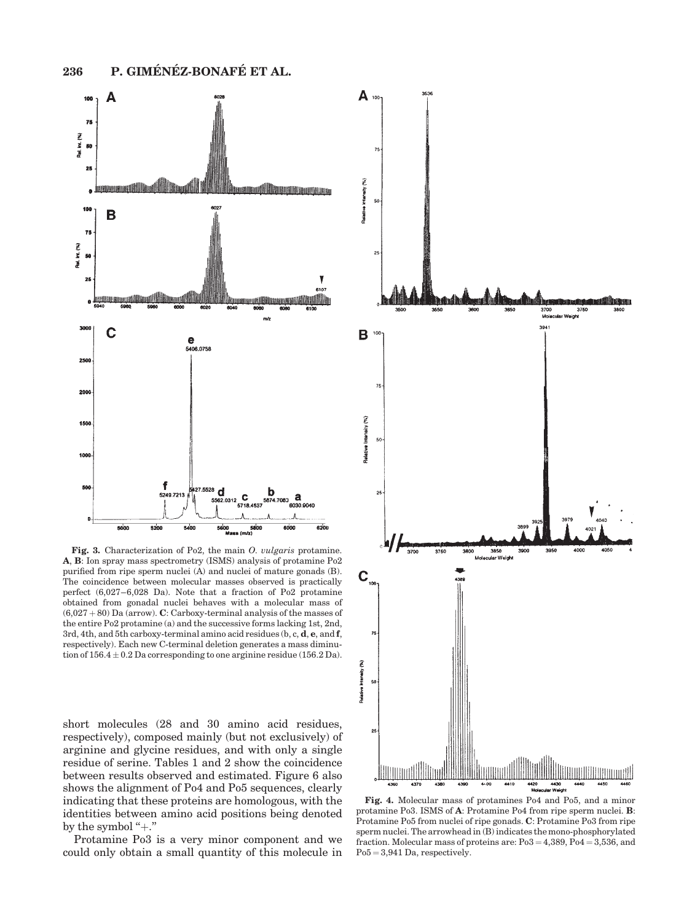

Fig. 3. Characterization of Po2, the main O. vulgaris protamine. A, B: Ion spray mass spectrometry (ISMS) analysis of protamine Po2 purified from ripe sperm nuclei (A) and nuclei of mature gonads (B). The coincidence between molecular masses observed is practically perfect (6,027–6,028 Da). Note that a fraction of Po2 protamine obtained from gonadal nuclei behaves with a molecular mass of  $(6,027 + 80)$  Da (arrow). C: Carboxy-terminal analysis of the masses of the entire Po2 protamine (a) and the successive forms lacking 1st, 2nd, 3rd, 4th, and 5th carboxy-terminal amino acid residues (b, c, d, e, and f, respectively). Each new C-terminal deletion generates a mass diminution of  $156.4 \pm 0.2$  Da corresponding to one arginine residue (156.2 Da).

short molecules (28 and 30 amino acid residues, respectively), composed mainly (but not exclusively) of arginine and glycine residues, and with only a single residue of serine. Tables 1 and 2 show the coincidence between results observed and estimated. Figure 6 also shows the alignment of Po4 and Po5 sequences, clearly indicating that these proteins are homologous, with the identities between amino acid positions being denoted by the symbol " $+$ ."

Protamine Po3 is a very minor component and we could only obtain a small quantity of this molecule in



Fig. 4. Molecular mass of protamines Po4 and Po5, and a minor protamine Po3. ISMS of A: Protamine Po4 from ripe sperm nuclei. B: Protamine Po5 from nuclei of ripe gonads. C: Protamine Po3 from ripe sperm nuclei. The arrowhead in (B) indicates the mono-phosphorylated fraction. Molecular mass of proteins are:  $Po3 = 4,389, Po4 = 3,536, and$  $Po5 = 3,941$  Da, respectively.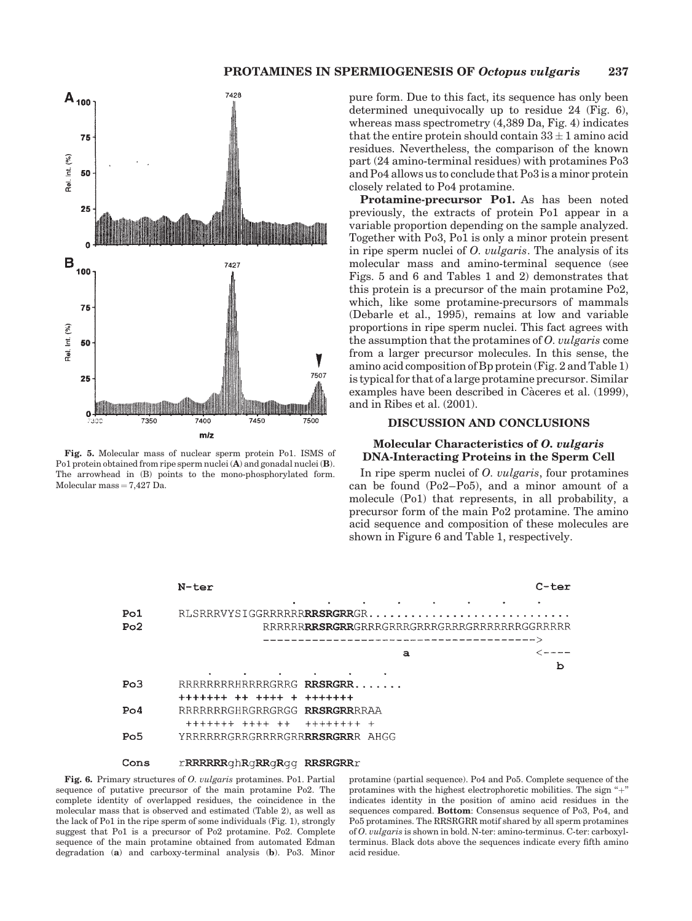

Fig. 5. Molecular mass of nuclear sperm protein Po1. ISMS of Po1 protein obtained from ripe sperm nuclei (A) and gonadal nuclei (B). The arrowhead in (B) points to the mono-phosphorylated form. Molecular mass  $= 7,427$  Da.

pure form. Due to this fact, its sequence has only been determined unequivocally up to residue 24 (Fig. 6), whereas mass spectrometry (4,389 Da, Fig. 4) indicates that the entire protein should contain  $33 \pm 1$  amino acid residues. Nevertheless, the comparison of the known part (24 amino-terminal residues) with protamines Po3 and Po4 allows us to conclude that Po3 is a minor protein closely related to Po4 protamine.

Protamine-precursor Po1. As has been noted previously, the extracts of protein Po1 appear in a variable proportion depending on the sample analyzed. Together with Po3, Po1 is only a minor protein present in ripe sperm nuclei of O. vulgaris. The analysis of its molecular mass and amino-terminal sequence (see Figs. 5 and 6 and Tables 1 and 2) demonstrates that this protein is a precursor of the main protamine Po2, which, like some protamine-precursors of mammals (Debarle et al., 1995), remains at low and variable proportions in ripe sperm nuclei. This fact agrees with the assumption that the protamines of O. vulgaris come from a larger precursor molecules. In this sense, the amino acid composition of Bp protein (Fig. 2 and Table 1) is typical for that of a large protamine precursor. Similar examples have been described in Càceres et al. (1999), and in Ribes et al. (2001).

# DISCUSSION AND CONCLUSIONS

### Molecular Characteristics of O. vulgaris DNA-Interacting Proteins in the Sperm Cell

In ripe sperm nuclei of O. vulgaris, four protamines can be found (Po2–Po5), and a minor amount of a molecule (Po1) that represents, in all probability, a precursor form of the main Po2 protamine. The amino acid sequence and composition of these molecules are shown in Figure 6 and Table 1, respectively.



#### Cons rRRRRRRGhRgRRGRGG RRSRGRRr

Fig. 6. Primary structures of O. vulgaris protamines. Po1. Partial sequence of putative precursor of the main protamine Po2. The complete identity of overlapped residues, the coincidence in the molecular mass that is observed and estimated (Table 2), as well as the lack of Po1 in the ripe sperm of some individuals (Fig. 1), strongly suggest that Po1 is a precursor of Po2 protamine. Po2. Complete sequence of the main protamine obtained from automated Edman degradation (a) and carboxy-terminal analysis (b). Po3. Minor

protamine (partial sequence). Po4 and Po5. Complete sequence of the protamines with the highest electrophoretic mobilities. The sign "+" indicates identity in the position of amino acid residues in the sequences compared. Bottom: Consensus sequence of Po3, Po4, and Po5 protamines. The RRSRGRR motif shared by all sperm protamines of O. vulgaris is shown in bold. N-ter: amino-terminus. C-ter: carboxylterminus. Black dots above the sequences indicate every fifth amino acid residue.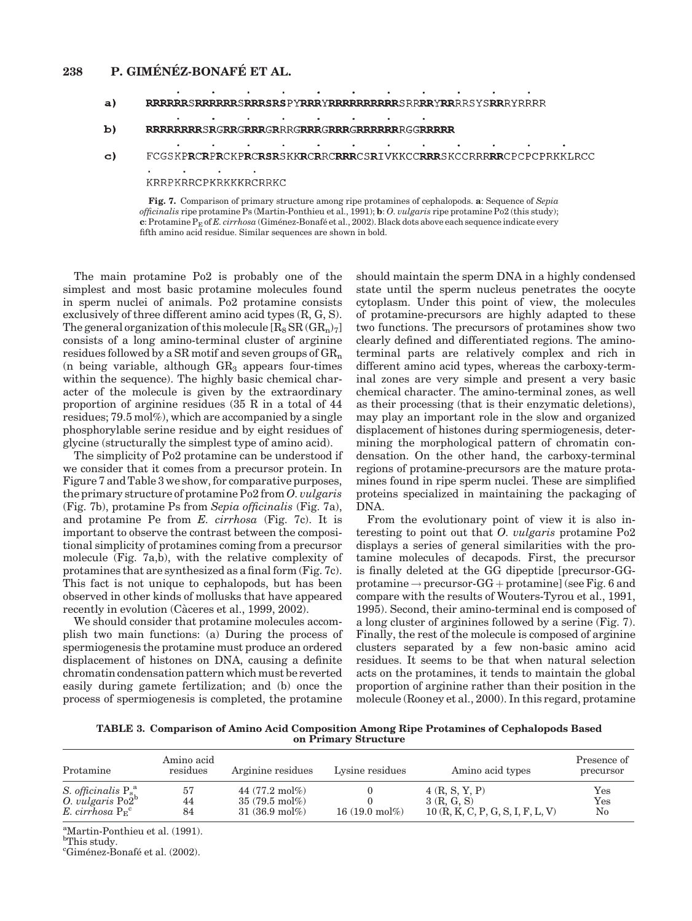# 238 P. GIMÉNÉZ-BONAFÉ ET AL.

- **RRRRRRSRRRRRSRRRSRSPYRRRYRRRRRRRRRRSRRRRYRR**RRSYS**RR**RYRRRR  $a)$  $\mathbf{r}$
- $\mathbf{r}$  $b)$ RRRRRRRRSRGRRGRRRGRRRGRRRGRRRRRRRGGRRRRR

 $\mathcal{L}^{\mathcal{L}}$ 

FCGSKPRCRPRCKPRCRSRSKKRCRRCRRRCSRIVKKCCRRRSKCCRRRRRCPCPCPRKKLRCC  $\mathbf{c}$ 

 $\mathbb{Z}^2$ 

 $\mathbf{r}$ 

 $\mathbf{r}$ 

KRRPKRRCPKRKKKRCRRKC

Fig. 7. Comparison of primary structure among ripe protamines of cephalopods. a: Sequence of Sepia officinalis ripe protamine Ps (Martin-Ponthieu et al., 1991); b: O. vulgaris ripe protamine Po2 (this study);  $c:$  Protamine  $P_E$  of E. cirrhosa (Giménez-Bonafé et al., 2002). Black dots above each sequence indicate every fifth amino acid residue. Similar sequences are shown in bold.

The main protamine Po2 is probably one of the simplest and most basic protamine molecules found in sperm nuclei of animals. Po2 protamine consists exclusively of three different amino acid types (R, G, S). The general organization of this molecule  $[R_8 S R (GR_n)_7]$ consists of a long amino-terminal cluster of arginine residues followed by a SR motif and seven groups of  $\text{GR}_n$ (n being variable, although  $GR<sub>3</sub>$  appears four-times within the sequence). The highly basic chemical character of the molecule is given by the extraordinary proportion of arginine residues (35 R in a total of 44 residues; 79.5 mol%), which are accompanied by a single phosphorylable serine residue and by eight residues of glycine (structurally the simplest type of amino acid).

The simplicity of Po2 protamine can be understood if we consider that it comes from a precursor protein. In Figure 7 and Table 3 we show, for comparative purposes, the primary structure of protamine Po2 from O. vulgaris (Fig. 7b), protamine Ps from Sepia officinalis (Fig. 7a), and protamine Pe from E. cirrhosa (Fig. 7c). It is important to observe the contrast between the compositional simplicity of protamines coming from a precursor molecule (Fig. 7a,b), with the relative complexity of protamines that are synthesized as a final form (Fig. 7c). This fact is not unique to cephalopods, but has been observed in other kinds of mollusks that have appeared recently in evolution (Càceres et al., 1999, 2002).

We should consider that protamine molecules accomplish two main functions: (a) During the process of spermiogenesis the protamine must produce an ordered displacement of histones on DNA, causing a definite chromatin condensation pattern which must be reverted easily during gamete fertilization; and (b) once the process of spermiogenesis is completed, the protamine

should maintain the sperm DNA in a highly condensed state until the sperm nucleus penetrates the oocyte cytoplasm. Under this point of view, the molecules of protamine-precursors are highly adapted to these two functions. The precursors of protamines show two clearly defined and differentiated regions. The aminoterminal parts are relatively complex and rich in different amino acid types, whereas the carboxy-terminal zones are very simple and present a very basic chemical character. The amino-terminal zones, as well as their processing (that is their enzymatic deletions), may play an important role in the slow and organized displacement of histones during spermiogenesis, determining the morphological pattern of chromatin condensation. On the other hand, the carboxy-terminal regions of protamine-precursors are the mature protamines found in ripe sperm nuclei. These are simplified proteins specialized in maintaining the packaging of DNA.

From the evolutionary point of view it is also interesting to point out that O. vulgaris protamine Po2 displays a series of general similarities with the protamine molecules of decapods. First, the precursor is finally deleted at the GG dipeptide [precursor-GGprotamine  $\rightarrow$  precursor-GG + protamine] (see Fig. 6 and compare with the results of Wouters-Tyrou et al., 1991, 1995). Second, their amino-terminal end is composed of a long cluster of arginines followed by a serine (Fig. 7). Finally, the rest of the molecule is composed of arginine clusters separated by a few non-basic amino acid residues. It seems to be that when natural selection acts on the protamines, it tends to maintain the global proportion of arginine rather than their position in the molecule (Rooney et al., 2000). In this regard, protamine

TABLE 3. Comparison of Amino Acid Composition Among Ripe Protamines of Cephalopods Based on Primary Structure

| Protamine                | Amino acid<br>residues | Arginine residues         | Lysine residues          | Amino acid types                 | Presence of<br>precursor |
|--------------------------|------------------------|---------------------------|--------------------------|----------------------------------|--------------------------|
| S. officinalis $P_s^a$ . | 57                     | 44 $(77.2 \text{ mol\%)}$ | $16(19.0 \text{ mol\%)}$ | 4(R, S, Y, P)                    | Yes                      |
| $0.$ vulgaris $Po2b$     | 44                     | $35(79.5 \text{ mol\%)}$  |                          | 3(R, G, S)                       | Yes                      |
| E. cirrhosa $P_F^c$      | 84                     | $31(36.9 \text{ mol\%)}$  |                          | 10(R, K, C, P, G, S, I, F, L, V) | $\rm No$                 |

<sup>a</sup>Martin-Ponthieu et al. (1991).<br><sup>b</sup>This study.

<sup>c</sup>Giménez-Bonafé et al. (2002).